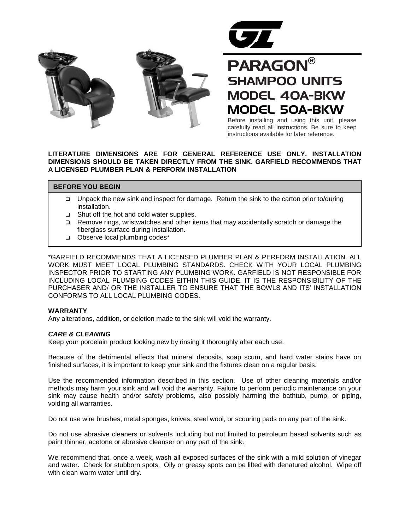



## PARAGON® SHAMPOO UNITS MODEL 40A-BKW MODEL 50A-BKW

Before installing and using this unit, please carefully read all instructions. Be sure to keep instructions available for later reference.

### **LITERATURE DIMENSIONS ARE FOR GENERAL REFERENCE USE ONLY. INSTALLATION DIMENSIONS SHOULD BE TAKEN DIRECTLY FROM THE SINK. GARFIELD RECOMMENDS THAT A LICENSED PLUMBER PLAN & PERFORM INSTALLATION**

### **BEFORE YOU BEGIN**

- □ Unpack the new sink and inspect for damage. Return the sink to the carton prior to/during installation.
- $\Box$  Shut off the hot and cold water supplies.
- $\Box$  Remove rings, wristwatches and other items that may accidentally scratch or damage the fiberglass surface during installation.
- □ Observe local plumbing codes\*

\*GARFIELD RECOMMENDS THAT A LICENSED PLUMBER PLAN & PERFORM INSTALLATION. ALL WORK MUST MEET LOCAL PLUMBING STANDARDS. CHECK WITH YOUR LOCAL PLUMBING INSPECTOR PRIOR TO STARTING ANY PLUMBING WORK. GARFIELD IS NOT RESPONSIBLE FOR INCLUDING LOCAL PLUMBING CODES EITHIN THIS GUIDE. IT IS THE RESPONSIBILITY OF THE PURCHASER AND/ OR THE INSTALLER TO ENSURE THAT THE BOWLS AND ITS' INSTALLATION CONFORMS TO ALL LOCAL PLUMBING CODES.

### **WARRANTY**

Any alterations, addition, or deletion made to the sink will void the warranty.

### *CARE & CLEANING*

Keep your porcelain product looking new by rinsing it thoroughly after each use.

Because of the detrimental effects that mineral deposits, soap scum, and hard water stains have on finished surfaces, it is important to keep your sink and the fixtures clean on a regular basis.

Use the recommended information described in this section. Use of other cleaning materials and/or methods may harm your sink and will void the warranty. Failure to perform periodic maintenance on your sink may cause health and/or safety problems, also possibly harming the bathtub, pump, or piping, voiding all warranties.

Do not use wire brushes, metal sponges, knives, steel wool, or scouring pads on any part of the sink.

Do not use abrasive cleaners or solvents including but not limited to petroleum based solvents such as paint thinner, acetone or abrasive cleanser on any part of the sink.

We recommend that, once a week, wash all exposed surfaces of the sink with a mild solution of vinegar and water. Check for stubborn spots. Oily or greasy spots can be lifted with denatured alcohol. Wipe off with clean warm water until dry.